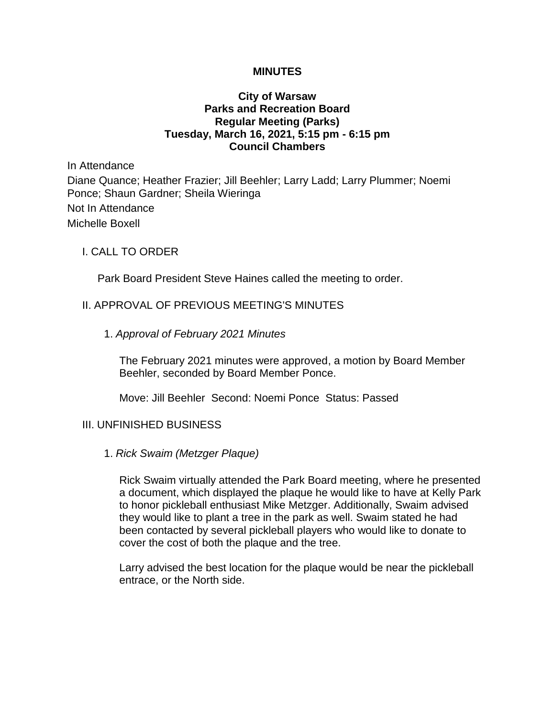#### **MINUTES**

## **City of Warsaw Parks and Recreation Board Regular Meeting (Parks) Tuesday, March 16, 2021, 5:15 pm - 6:15 pm Council Chambers**

In Attendance Diane Quance; Heather Frazier; Jill Beehler; Larry Ladd; Larry Plummer; Noemi Ponce; Shaun Gardner; Sheila Wieringa Not In Attendance Michelle Boxell

#### I. CALL TO ORDER

Park Board President Steve Haines called the meeting to order.

## II. APPROVAL OF PREVIOUS MEETING'S MINUTES

1. *Approval of February 2021 Minutes*

The February 2021 minutes were approved, a motion by Board Member Beehler, seconded by Board Member Ponce.

Move: Jill Beehler Second: Noemi Ponce Status: Passed

#### III. UNFINISHED BUSINESS

1. *Rick Swaim (Metzger Plaque)*

Rick Swaim virtually attended the Park Board meeting, where he presented a document, which displayed the plaque he would like to have at Kelly Park to honor pickleball enthusiast Mike Metzger. Additionally, Swaim advised they would like to plant a tree in the park as well. Swaim stated he had been contacted by several pickleball players who would like to donate to cover the cost of both the plaque and the tree.

Larry advised the best location for the plaque would be near the pickleball entrace, or the North side.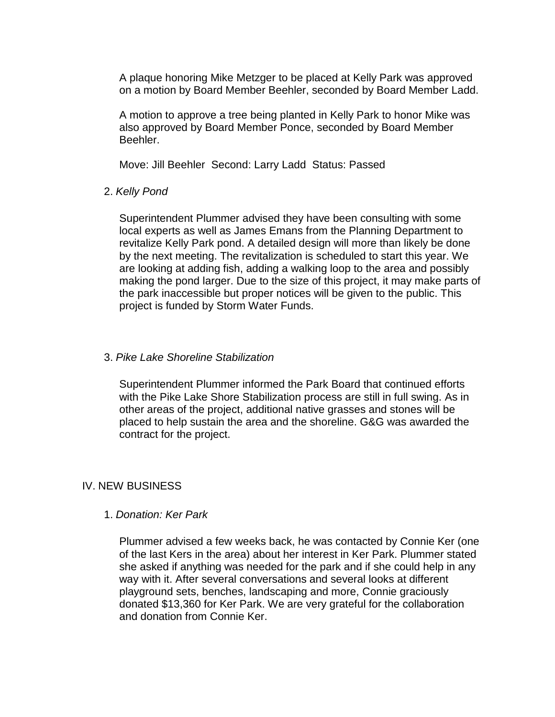A plaque honoring Mike Metzger to be placed at Kelly Park was approved on a motion by Board Member Beehler, seconded by Board Member Ladd.

A motion to approve a tree being planted in Kelly Park to honor Mike was also approved by Board Member Ponce, seconded by Board Member Beehler.

Move: Jill Beehler Second: Larry Ladd Status: Passed

## 2. *Kelly Pond*

Superintendent Plummer advised they have been consulting with some local experts as well as James Emans from the Planning Department to revitalize Kelly Park pond. A detailed design will more than likely be done by the next meeting. The revitalization is scheduled to start this year. We are looking at adding fish, adding a walking loop to the area and possibly making the pond larger. Due to the size of this project, it may make parts of the park inaccessible but proper notices will be given to the public. This project is funded by Storm Water Funds.

## 3. *Pike Lake Shoreline Stabilization*

Superintendent Plummer informed the Park Board that continued efforts with the Pike Lake Shore Stabilization process are still in full swing. As in other areas of the project, additional native grasses and stones will be placed to help sustain the area and the shoreline. G&G was awarded the contract for the project.

# IV. NEW BUSINESS

#### 1. *Donation: Ker Park*

Plummer advised a few weeks back, he was contacted by Connie Ker (one of the last Kers in the area) about her interest in Ker Park. Plummer stated she asked if anything was needed for the park and if she could help in any way with it. After several conversations and several looks at different playground sets, benches, landscaping and more, Connie graciously donated \$13,360 for Ker Park. We are very grateful for the collaboration and donation from Connie Ker.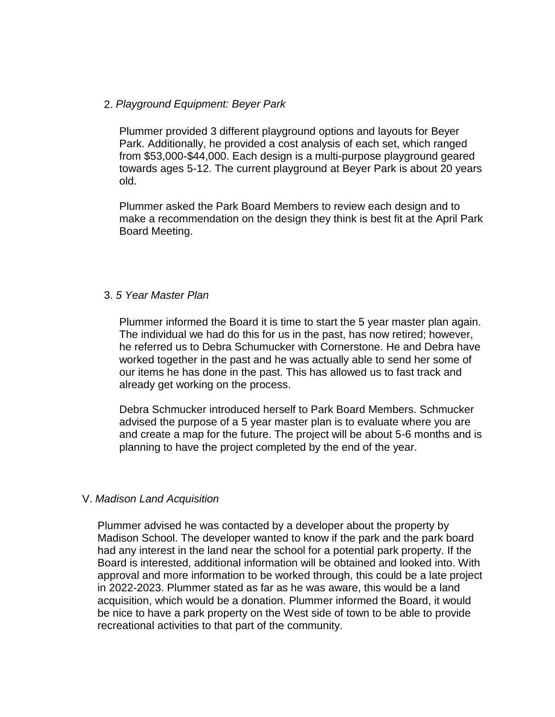## 2. *Playground Equipment: Beyer Park*

Plummer provided 3 different playground options and layouts for Beyer Park. Additionally, he provided a cost analysis of each set, which ranged from \$53,000-\$44,000. Each design is a multi-purpose playground geared towards ages 5-12. The current playground at Beyer Park is about 20 years old.

Plummer asked the Park Board Members to review each design and to make a recommendation on the design they think is best fit at the April Park Board Meeting.

## 3. *5 Year Master Plan*

Plummer informed the Board it is time to start the 5 year master plan again. The individual we had do this for us in the past, has now retired; however, he referred us to Debra Schumucker with Cornerstone. He and Debra have worked together in the past and he was actually able to send her some of our items he has done in the past. This has allowed us to fast track and already get working on the process.

Debra Schmucker introduced herself to Park Board Members. Schmucker advised the purpose of a 5 year master plan is to evaluate where you are and create a map for the future. The project will be about 5-6 months and is planning to have the project completed by the end of the year.

# V. *Madison Land Acquisition*

Plummer advised he was contacted by a developer about the property by Madison School. The developer wanted to know if the park and the park board had any interest in the land near the school for a potential park property. If the Board is interested, additional information will be obtained and looked into. With approval and more information to be worked through, this could be a late project in 2022-2023. Plummer stated as far as he was aware, this would be a land acquisition, which would be a donation. Plummer informed the Board, it would be nice to have a park property on the West side of town to be able to provide recreational activities to that part of the community.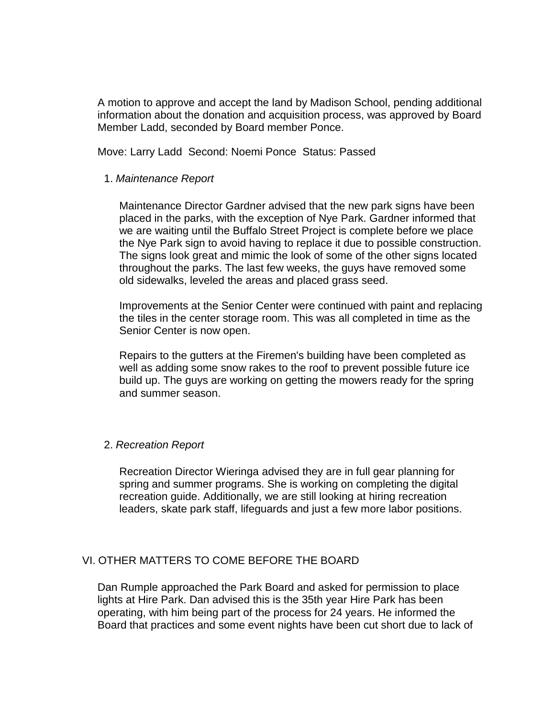A motion to approve and accept the land by Madison School, pending additional information about the donation and acquisition process, was approved by Board Member Ladd, seconded by Board member Ponce.

Move: Larry Ladd Second: Noemi Ponce Status: Passed

#### 1. *Maintenance Report*

Maintenance Director Gardner advised that the new park signs have been placed in the parks, with the exception of Nye Park. Gardner informed that we are waiting until the Buffalo Street Project is complete before we place the Nye Park sign to avoid having to replace it due to possible construction. The signs look great and mimic the look of some of the other signs located throughout the parks. The last few weeks, the guys have removed some old sidewalks, leveled the areas and placed grass seed.

Improvements at the Senior Center were continued with paint and replacing the tiles in the center storage room. This was all completed in time as the Senior Center is now open.

Repairs to the gutters at the Firemen's building have been completed as well as adding some snow rakes to the roof to prevent possible future ice build up. The guys are working on getting the mowers ready for the spring and summer season.

#### 2. *Recreation Report*

Recreation Director Wieringa advised they are in full gear planning for spring and summer programs. She is working on completing the digital recreation guide. Additionally, we are still looking at hiring recreation leaders, skate park staff, lifeguards and just a few more labor positions.

#### VI. OTHER MATTERS TO COME BEFORE THE BOARD

Dan Rumple approached the Park Board and asked for permission to place lights at Hire Park. Dan advised this is the 35th year Hire Park has been operating, with him being part of the process for 24 years. He informed the Board that practices and some event nights have been cut short due to lack of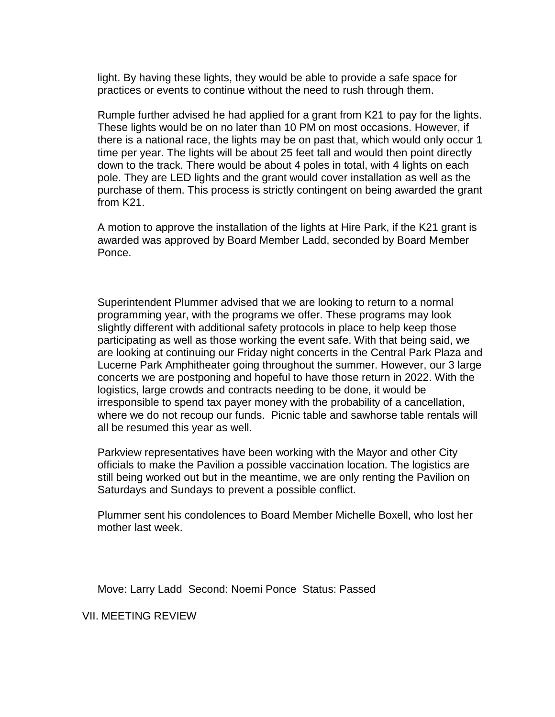light. By having these lights, they would be able to provide a safe space for practices or events to continue without the need to rush through them.

Rumple further advised he had applied for a grant from K21 to pay for the lights. These lights would be on no later than 10 PM on most occasions. However, if there is a national race, the lights may be on past that, which would only occur 1 time per year. The lights will be about 25 feet tall and would then point directly down to the track. There would be about 4 poles in total, with 4 lights on each pole. They are LED lights and the grant would cover installation as well as the purchase of them. This process is strictly contingent on being awarded the grant from K21.

A motion to approve the installation of the lights at Hire Park, if the K21 grant is awarded was approved by Board Member Ladd, seconded by Board Member Ponce.

Superintendent Plummer advised that we are looking to return to a normal programming year, with the programs we offer. These programs may look slightly different with additional safety protocols in place to help keep those participating as well as those working the event safe. With that being said, we are looking at continuing our Friday night concerts in the Central Park Plaza and Lucerne Park Amphitheater going throughout the summer. However, our 3 large concerts we are postponing and hopeful to have those return in 2022. With the logistics, large crowds and contracts needing to be done, it would be irresponsible to spend tax payer money with the probability of a cancellation, where we do not recoup our funds. Picnic table and sawhorse table rentals will all be resumed this year as well.

Parkview representatives have been working with the Mayor and other City officials to make the Pavilion a possible vaccination location. The logistics are still being worked out but in the meantime, we are only renting the Pavilion on Saturdays and Sundays to prevent a possible conflict.

Plummer sent his condolences to Board Member Michelle Boxell, who lost her mother last week.

Move: Larry Ladd Second: Noemi Ponce Status: Passed

VII. MEETING REVIEW